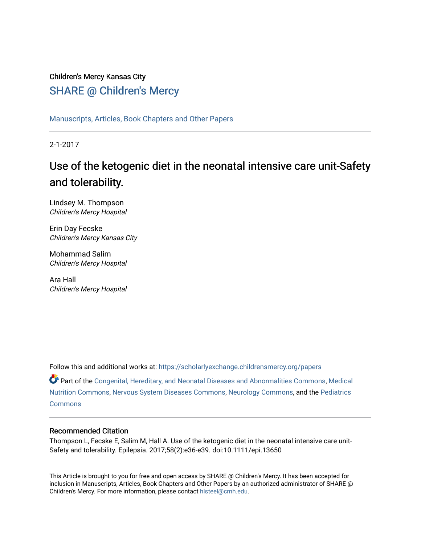## Children's Mercy Kansas City SHARE @ Children's Mercy

[Manuscripts, Articles, Book Chapters and Other Papers](https://scholarlyexchange.childrensmercy.org/papers)

2-1-2017

# Use of the ketogenic diet in the neonatal intensive care unit-Safety and tolerability.

Lindsey M. Thompson Children's Mercy Hospital

Erin Day Fecske Children's Mercy Kansas City

Mohammad Salim Children's Mercy Hospital

Ara Hall Children's Mercy Hospital

Follow this and additional works at: [https://scholarlyexchange.childrensmercy.org/papers](https://scholarlyexchange.childrensmercy.org/papers?utm_source=scholarlyexchange.childrensmercy.org%2Fpapers%2F1145&utm_medium=PDF&utm_campaign=PDFCoverPages) 

Part of the [Congenital, Hereditary, and Neonatal Diseases and Abnormalities Commons,](http://network.bepress.com/hgg/discipline/971?utm_source=scholarlyexchange.childrensmercy.org%2Fpapers%2F1145&utm_medium=PDF&utm_campaign=PDFCoverPages) [Medical](http://network.bepress.com/hgg/discipline/675?utm_source=scholarlyexchange.childrensmercy.org%2Fpapers%2F1145&utm_medium=PDF&utm_campaign=PDFCoverPages) [Nutrition Commons](http://network.bepress.com/hgg/discipline/675?utm_source=scholarlyexchange.childrensmercy.org%2Fpapers%2F1145&utm_medium=PDF&utm_campaign=PDFCoverPages), [Nervous System Diseases Commons,](http://network.bepress.com/hgg/discipline/928?utm_source=scholarlyexchange.childrensmercy.org%2Fpapers%2F1145&utm_medium=PDF&utm_campaign=PDFCoverPages) [Neurology Commons](http://network.bepress.com/hgg/discipline/692?utm_source=scholarlyexchange.childrensmercy.org%2Fpapers%2F1145&utm_medium=PDF&utm_campaign=PDFCoverPages), and the [Pediatrics](http://network.bepress.com/hgg/discipline/700?utm_source=scholarlyexchange.childrensmercy.org%2Fpapers%2F1145&utm_medium=PDF&utm_campaign=PDFCoverPages)  **[Commons](http://network.bepress.com/hgg/discipline/700?utm_source=scholarlyexchange.childrensmercy.org%2Fpapers%2F1145&utm_medium=PDF&utm_campaign=PDFCoverPages)** 

## Recommended Citation

Thompson L, Fecske E, Salim M, Hall A. Use of the ketogenic diet in the neonatal intensive care unit-Safety and tolerability. Epilepsia. 2017;58(2):e36-e39. doi:10.1111/epi.13650

This Article is brought to you for free and open access by SHARE @ Children's Mercy. It has been accepted for inclusion in Manuscripts, Articles, Book Chapters and Other Papers by an authorized administrator of SHARE @ Children's Mercy. For more information, please contact [hlsteel@cmh.edu](mailto:hlsteel@cmh.edu).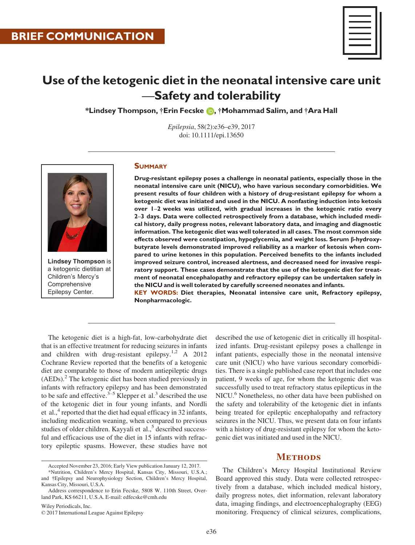

## Use of the ketogenic diet in the neonatal intensive care unit —Safety and tolerability

\*Lindsey Thompson, †Erin Fecske (D, †Mohammad Salim, and †Ara Hall

Epilepsia, 58(2):e36–e39, 2017 doi: 10.1111/epi.13650



Lindsey Thompson is a ketogenic dietitian at Children's Mercy's Comprehensive Epilepsy Center.

#### **SUMMARY**

Drug-resistant epilepsy poses a challenge in neonatal patients, especially those in the neonatal intensive care unit (NICU), who have various secondary comorbidities. We present results of four children with a history of drug-resistant epilepsy for whom a ketogenic diet was initiated and used in the NICU. A nonfasting induction into ketosis over 1–2 weeks was utilized, with gradual increases in the ketogenic ratio every 2–3 days. Data were collected retrospectively from a database, which included medical history, daily progress notes, relevant laboratory data, and imaging and diagnostic information. The ketogenic diet was well tolerated in all cases. The most common side effects observed were constipation, hypoglycemia, and weight loss. Serum  $\beta$ -hydroxybutyrate levels demonstrated improved reliability as a marker of ketosis when compared to urine ketones in this population. Perceived benefits to the infants included improved seizure control, increased alertness, and decreased need for invasive respiratory support. These cases demonstrate that the use of the ketogenic diet for treatment of neonatal encephalopathy and refractory epilepsy can be undertaken safely in the NICU and is well tolerated by carefully screened neonates and infants.

KEY WORDS: Diet therapies, Neonatal intensive care unit, Refractory epilepsy, Nonpharmacologic.

The ketogenic diet is a high-fat, low-carbohydrate diet that is an effective treatment for reducing seizures in infants and children with drug-resistant epilepsy.<sup>1,2</sup> A 2012 Cochrane Review reported that the benefits of a ketogenic diet are comparable to those of modern antiepileptic drugs  $(AEDs).<sup>2</sup>$  The ketogenic diet has been studied previously in infants with refractory epilepsy and has been demonstrated to be safe and effective.<sup>3–5</sup> Klepper et al.<sup>3</sup> described the use of the ketogenic diet in four young infants, and Nordli et al., $4$  reported that the diet had equal efficacy in 32 infants, including medication weaning, when compared to previous studies of older children. Kayyali et al., $<sup>5</sup>$  described success-</sup> ful and efficacious use of the diet in 15 infants with refractory epileptic spasms. However, these studies have not

Wiley Periodicals, Inc. © 2017 International League Against Epilepsy

described the use of ketogenic diet in critically ill hospitalized infants. Drug-resistant epilepsy poses a challenge in infant patients, especially those in the neonatal intensive care unit (NICU) who have various secondary comorbidities. There is a single published case report that includes one patient, 9 weeks of age, for whom the ketogenic diet was successfully used to treat refractory status epilepticus in the NICU.<sup>6</sup> Nonetheless, no other data have been published on the safety and tolerability of the ketogenic diet in infants being treated for epileptic encephalopathy and refractory seizures in the NICU. Thus, we present data on four infants with a history of drug-resistant epilepsy for whom the ketogenic diet was initiated and used in the NICU.

## **METHODS**

The Children's Mercy Hospital Institutional Review Board approved this study. Data were collected retrospectively from a database, which included medical history, daily progress notes, diet information, relevant laboratory data, imaging findings, and electroencephalography (EEG) monitoring. Frequency of clinical seizures, complications,

Accepted November 23, 2016; Early View publication January 12, 2017.

<sup>\*</sup>Nutrition, Children's Mercy Hospital, Kansas City, Missouri, U.S.A.; and †Epilepsy and Neurophysiology Section, Children's Mercy Hospital, Kansas City, Missouri, U.S.A.

Address correspondence to Erin Fecske, 5808 W. 110th Street, Overland Park, KS 66211, U.S.A. E-mail: edfecske@cmh.edu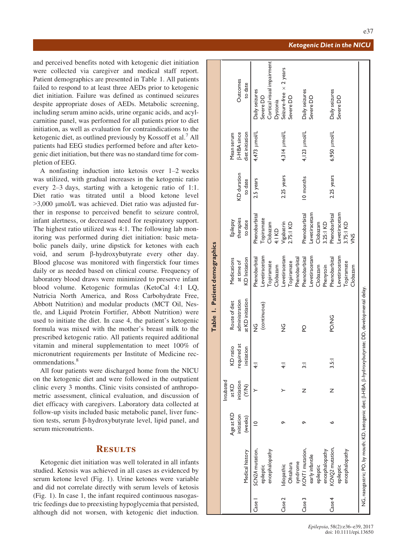Ketogenic Diet in the NICU

e37

and perceived benefits noted with ketogenic diet initiation were collected via caregiver and medical staff report. Patient demographics are presented in Table 1. All patients failed to respond to at least three AEDs prior to ketogenic diet initiation. Failure was defined as continued seizures despite appropriate doses of AEDs. Metabolic screening, including serum amino acids, urine organic acids, and acylcarnitine panel, was performed for all patients prior to diet initiation, as well as evaluation for contraindications to the ketogenic diet, as outlined previously by Kossoff et al.<sup>7</sup> All patients had EEG studies performed before and after ketogenic diet initiation, but there was no standard time for completion of EEG.

A nonfasting induction into ketosis over 1–2 weeks was utilized, with gradual increases in the ketogenic ratio every 2–3 days, starting with a ketogenic ratio of 1:1. Diet ratio was titrated until a blood ketone level >3,000 lmol/L was achieved. Diet ratio was adjusted further in response to perceived benefit to seizure control, infant alertness, or decreased need for respiratory support. The highest ratio utilized was 4:1. The following lab monitoring was performed during diet initiation: basic metabolic panels daily, urine dipstick for ketones with each void, and serum  $\beta$ -hydroxybutyrate every other day. Blood glucose was monitored with fingerstick four times daily or as needed based on clinical course. Frequency of laboratory blood draws were minimized to preserve infant blood volume. Ketogenic formulas (KetoCal 4:1 LQ, Nutricia North America, and Ross Carbohydrate Free, Abbott Nutrition) and modular products (MCT Oil, Nestle, and Liquid Protein Fortifier, Abbott Nutrition) were used to initiate the diet. In case 4, the patient's ketogenic formula was mixed with the mother's breast milk to the prescribed ketogenic ratio. All patients required additional vitamin and mineral supplementation to meet 100% of micronutrient requirements per Institute of Medicine recommendations<sup>8</sup>

All four patients were discharged home from the NICU on the ketogenic diet and were followed in the outpatient clinic every 3 months. Clinic visits consisted of anthropometric assessment, clinical evaluation, and discussion of diet efficacy with caregivers. Laboratory data collected at follow-up visits included basic metabolic panel, liver function tests, serum  $\beta$ -hydroxybutyrate level, lipid panel, and serum micronutrients.

### **RESULTS**

Ketogenic diet initiation was well tolerated in all infants studied. Ketosis was achieved in all cases as evidenced by serum ketone level (Fig. 1). Urine ketones were variable and did not correlate directly with serum levels of ketosis (Fig. 1). In case 1, the infant required continuous nasogastric feedings due to preexisting hypoglycemia that persisted, although did not worsen, with ketogenic diet induction.

|                   |                                                                                                       |             |                 |                |                  | Table 1. Patient demographics |               |             |                    |                               |
|-------------------|-------------------------------------------------------------------------------------------------------|-------------|-----------------|----------------|------------------|-------------------------------|---------------|-------------|--------------------|-------------------------------|
|                   |                                                                                                       |             | Intubated       |                |                  |                               |               |             |                    |                               |
|                   |                                                                                                       | Age at KD   | at KD           | KD ratio       | Route of diet    | Medications                   | Epilepsy      |             | Mean serum         |                               |
|                   |                                                                                                       | initiation  | initiation      | required at    | administration   | at time of                    | therapies     | KD duration | <b>B-HBA</b> since | Outcomes                      |
|                   | Medical history                                                                                       | (weeks)     | $\widetilde{K}$ | initiation     | at KD initiation | KD Initiation                 | to date       | to date     | diet initiation    | to date                       |
| Case <sup>1</sup> | SCN2A mutation,                                                                                       | $\supseteq$ |                 | $\overline{4}$ | 9<br>N           | Phenobarbital                 | Phenobarbital | 2.5 years   | 4,473 µmol/L       | Daily seizures                |
|                   | epileptic                                                                                             |             |                 |                | (continuous)     | Levetiracetam                 | Topiramate    |             |                    | Severe DD                     |
|                   | encephalopathy                                                                                        |             |                 |                |                  | Topiramate                    | Clobazam      |             |                    | Cortical visual impairment    |
|                   |                                                                                                       |             |                 |                |                  | Clobazam                      | 4:1 KD        |             |                    | Dystonia                      |
| Case <sub>2</sub> | Idiopathic                                                                                            |             |                 | $\overline{4}$ | $\frac{c}{Z}$    | -evetiracetam                 | Vigabatrin    | 2.25 years  | 4,314 µmol/L       | Seizure-free $\times$ 2 years |
|                   | Ohtahara                                                                                              |             |                 |                |                  | Topiramate                    | 2.75:1 KD     |             |                    | Severe DD                     |
|                   |                                                                                                       |             |                 |                |                  | Phenobarbital                 |               |             |                    |                               |
| Case 3            | syndrome<br>KCNT/ mutation,                                                                           |             | z               | $\frac{1}{2}$  | Q                | Phenobarbital                 | Phenobarbital | 10 months   | 4,123 µmol/L       | Daily seizures                |
|                   | early infantile                                                                                       |             |                 |                |                  | .evetiracetam                 | evetiracetam  |             |                    | Severe DD                     |
|                   | epileptic                                                                                             |             |                 |                |                  | Clobazam                      | Clobazam      |             |                    |                               |
|                   | encephalopathy                                                                                        |             |                 |                |                  | Phenytoin                     | 3.25:1 KD     |             |                    |                               |
| Case 4            | KCNQ2 mutation,                                                                                       |             | Z               | 3.5:           | PO/NG            | Phenobarbital                 | Phenobarbital | 2.25 years  | 6,950 µmol/L       | Daily seizures                |
|                   | epileptic                                                                                             |             |                 |                |                  | Levetiracetam                 | -evetiracetam |             |                    | Severe DD                     |
|                   | encephalopathy                                                                                        |             |                 |                |                  | Topiramate                    | 3.75:1 KD     |             |                    |                               |
|                   |                                                                                                       |             |                 |                |                  | Clobazam                      | ğ             |             |                    |                               |
|                   | NG, nasogastric; PO, by mouth; KD, ketogenic diet; β-HBA, β-hydroxybutyrate; DD, developmental delay. |             |                 |                |                  |                               |               |             |                    |                               |
|                   |                                                                                                       |             |                 |                |                  |                               |               |             |                    |                               |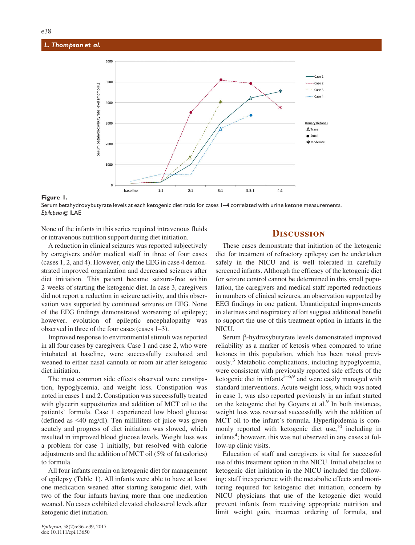#### L. Thompson et al.



Figure 1.

Serum betahydroxybutyrate levels at each ketogenic diet ratio for cases 1–4 correlated with urine ketone measurements. Epilepsia © ILAE

None of the infants in this series required intravenous fluids or intravenous nutrition support during diet initiation.

A reduction in clinical seizures was reported subjectively by caregivers and/or medical staff in three of four cases (cases 1, 2, and 4). However, only the EEG in case 4 demonstrated improved organization and decreased seizures after diet initiation. This patient became seizure-free within 2 weeks of starting the ketogenic diet. In case 3, caregivers did not report a reduction in seizure activity, and this observation was supported by continued seizures on EEG. None of the EEG findings demonstrated worsening of epilepsy; however, evolution of epileptic encephalopathy was observed in three of the four cases (cases 1–3).

Improved response to environmental stimuli was reported in all four cases by caregivers. Case 1 and case 2, who were intubated at baseline, were successfully extubated and weaned to either nasal cannula or room air after ketogenic diet initiation.

The most common side effects observed were constipation, hypoglycemia, and weight loss. Constipation was noted in cases 1 and 2. Constipation was successfully treated with glycerin suppositories and addition of MCT oil to the patients' formula. Case 1 experienced low blood glucose (defined as <40 mg/dl). Ten milliliters of juice was given acutely and progress of diet initiation was slowed, which resulted in improved blood glucose levels. Weight loss was a problem for case 1 initially, but resolved with calorie adjustments and the addition of MCT oil (5% of fat calories) to formula.

All four infants remain on ketogenic diet for management of epilepsy (Table 1). All infants were able to have at least one medication weaned after starting ketogenic diet, with two of the four infants having more than one medication weaned. No cases exhibited elevated cholesterol levels after ketogenic diet initiation.

### **DISCUSSION**

These cases demonstrate that initiation of the ketogenic diet for treatment of refractory epilepsy can be undertaken safely in the NICU and is well tolerated in carefully screened infants. Although the efficacy of the ketogenic diet for seizure control cannot be determined in this small population, the caregivers and medical staff reported reductions in numbers of clinical seizures, an observation supported by EEG findings in one patient. Unanticipated improvements in alertness and respiratory effort suggest additional benefit to support the use of this treatment option in infants in the NICU.

Serum b-hydroxybutyrate levels demonstrated improved reliability as a marker of ketosis when compared to urine ketones in this population, which has been noted previously.<sup>3</sup> Metabolic complications, including hypoglycemia, were consistent with previously reported side effects of the ketogenic diet in infants $3-6.9$  and were easily managed with standard interventions. Acute weight loss, which was noted in case 1, was also reported previously in an infant started on the ketogenic diet by Goyens et al. $9$  In both instances, weight loss was reversed successfully with the addition of MCT oil to the infant's formula. Hyperlipidemia is commonly reported with ketogenic diet use,<sup>10</sup> including in infants<sup>4</sup>; however, this was not observed in any cases at follow-up clinic visits.

Education of staff and caregivers is vital for successful use of this treatment option in the NICU. Initial obstacles to ketogenic diet initiation in the NICU included the following: staff inexperience with the metabolic effects and monitoring required for ketogenic diet initiation, concern by NICU physicians that use of the ketogenic diet would prevent infants from receiving appropriate nutrition and limit weight gain, incorrect ordering of formula, and